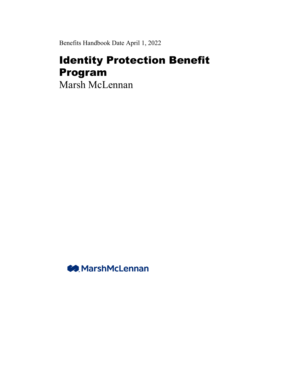Benefits Handbook Date April 1, 2022

# Identity Protection Benefit Program

Marsh McLennan

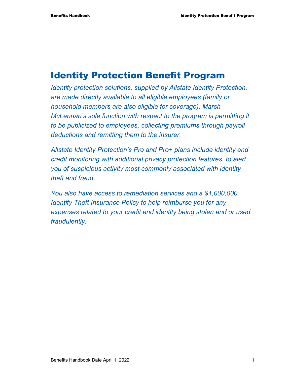## Identity Protection Benefit Program

*Identity protection solutions, supplied by Allstate Identity Protection, are made directly available to all eligible employees (family or household members are also eligible for coverage). Marsh McLennan's sole function with respect to the program is permitting it to be publicized to employees, collecting premiums through payroll deductions and remitting them to the insurer.* 

*Allstate Identity Protection's Pro and Pro+ plans include identity and credit monitoring with additional privacy protection features, to alert you of suspicious activity most commonly associated with identity theft and fraud.* 

*You also have access to remediation services and a \$1,000,000 Identity Theft Insurance Policy to help reimburse you for any expenses related to your credit and identity being stolen and or used fraudulently.*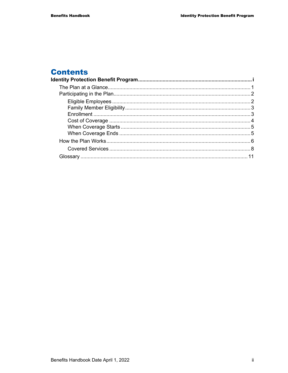## **Contents**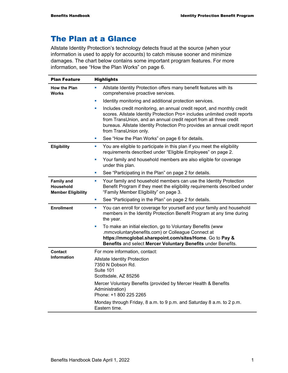## The Plan at a Glance

Allstate Identity Protection's technology detects fraud at the source (when your information is used to apply for accounts) to catch misuse sooner and minimize damages. The chart below contains some important program features. For more information, see "How the Plan Works" on page 6.

| <b>Plan Feature</b>                                         | <b>Highlights</b>                                                                                                                                                                                                                                                                                                                               |  |  |
|-------------------------------------------------------------|-------------------------------------------------------------------------------------------------------------------------------------------------------------------------------------------------------------------------------------------------------------------------------------------------------------------------------------------------|--|--|
| <b>How the Plan</b><br><b>Works</b>                         | Allstate Identity Protection offers many benefit features with its<br>L.<br>comprehensive proactive services.                                                                                                                                                                                                                                   |  |  |
|                                                             | Identity monitoring and additional protection services.<br>$\blacksquare$                                                                                                                                                                                                                                                                       |  |  |
|                                                             | Includes credit monitoring, an annual credit report, and monthly credit<br><b>D</b><br>scores. Allstate Identity Protection Pro+ includes unlimited credit reports<br>from TransUnion, and an annual credit report from all three credit<br>bureaus. Allstate Identity Protection Pro provides an annual credit report<br>from TransUnion only. |  |  |
|                                                             | See "How the Plan Works" on page 6 for details.<br>ш                                                                                                                                                                                                                                                                                            |  |  |
| Eligibility                                                 | You are eligible to participate in this plan if you meet the eligibility<br>ш<br>requirements described under "Eligible Employees" on page 2.                                                                                                                                                                                                   |  |  |
|                                                             | Your family and household members are also eligible for coverage<br>ш<br>under this plan.                                                                                                                                                                                                                                                       |  |  |
|                                                             | See "Participating in the Plan" on page 2 for details.<br>ш                                                                                                                                                                                                                                                                                     |  |  |
| <b>Family and</b><br>Household<br><b>Member Eligibility</b> | Your family and household members can use the Identity Protection<br>ш<br>Benefit Program if they meet the eligibility requirements described under<br>"Family Member Eligibility" on page 3.                                                                                                                                                   |  |  |
|                                                             | See "Participating in the Plan" on page 2 for details.<br>u,                                                                                                                                                                                                                                                                                    |  |  |
| <b>Enrollment</b>                                           | You can enroll for coverage for yourself and your family and household<br>ш<br>members in the Identity Protection Benefit Program at any time during<br>the year.                                                                                                                                                                               |  |  |
|                                                             | To make an initial election, go to Voluntary Benefits (www<br>$\blacksquare$<br>.mmcvoluntarybenefits.com) or Colleague Connect at<br>https://mmcglobal.sharepoint.com/sites/Home. Go to Pay &<br>Benefits and select Mercer Voluntary Benefits under Benefits.                                                                                 |  |  |
| <b>Contact</b><br><b>Information</b>                        | For more information, contact:                                                                                                                                                                                                                                                                                                                  |  |  |
|                                                             | <b>Allstate Identity Protection</b><br>7350 N Dobson Rd.<br>Suite 101<br>Scottsdale, AZ 85256                                                                                                                                                                                                                                                   |  |  |
|                                                             | Mercer Voluntary Benefits (provided by Mercer Health & Benefits<br>Administration)<br>Phone: +1 800 225 2265                                                                                                                                                                                                                                    |  |  |
|                                                             | Monday through Friday, 8 a.m. to 9 p.m. and Saturday 8 a.m. to 2 p.m.<br>Eastern time.                                                                                                                                                                                                                                                          |  |  |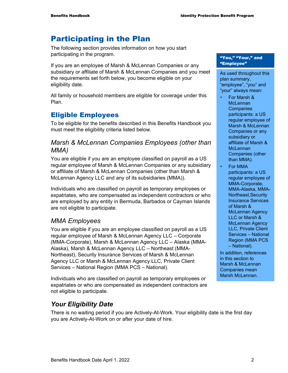## Participating in the Plan

The following section provides information on how you start participating in the program.

If you are an employee of Marsh & McLennan Companies or any subsidiary or affiliate of Marsh & McLennan Companies and you meet the requirements set forth below, you become eligible on your eligibility date.

All family or household members are eligible for coverage under this Plan.

### Eligible Employees

To be eligible for the benefits described in this Benefits Handbook you must meet the eligibility criteria listed below.

### *Marsh & McLennan Companies Employees (other than MMA)*

You are eligible if you are an employee classified on payroll as a US regular employee of Marsh & McLennan Companies or any subsidiary or affiliate of Marsh & McLennan Companies (other than Marsh & McLennan Agency LLC and any of its subsidiaries (MMA)).

Individuals who are classified on payroll as temporary employees or expatriates, who are compensated as independent contractors or who are employed by any entity in Bermuda, Barbados or Cayman Islands are not eligible to participate.

### *MMA Employees*

You are eligible if you are an employee classified on payroll as a US regular employee of Marsh & McLennan Agency LLC – Corporate (MMA-Corporate), Marsh & McLennan Agency LLC – Alaska (MMA-Alaska), Marsh & McLennan Agency LLC – Northeast (MMA-Northeast), Security Insurance Services of Marsh & McLennan Agency LLC or Marsh & McLennan Agency LLC, Private Client Services – National Region (MMA PCS – National).

Individuals who are classified on payroll as temporary employees or expatriates or who are compensated as independent contractors are not eligible to participate.

### *Your Eligibility Date*

There is no waiting period if you are Actively-At-Work. Your eligibility date is the first day you are Actively-At-Work on or after your date of hire.

#### "You," "Your," and "Employee"

As used throughout this plan summary, "employee", "you" and "your" always mean:

- For Marsh & **McLennan Companies** participants: a US regular employee of Marsh & McLennan Companies or any subsidiary or affiliate of Marsh & **McLennan** Companies (other than MMA).
- For MMA participants: a US regular employee of MMA-Corporate, MMA-Alaska, MMA-Northeast,Security Insurance Services of Marsh & McLennan Agency LLC or Marsh & McLennan Agency LLC, Private Client Services – National Region (MMA PCS – National).

In addition, references in this section to Marsh & McLennan Companies mean Marsh McLennan.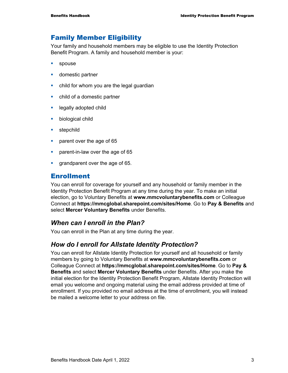### Family Member Eligibility

Your family and household members may be eligible to use the Identity Protection Benefit Program. A family and household member is your:

- **spouse**
- **domestic partner**
- child for whom you are the legal guardian
- child of a domestic partner
- **Example 2** legally adopted child
- **biological child**
- **stepchild**
- **parent over the age of 65**
- **parent-in-law over the age of 65**
- **grandparent over the age of 65.**

### Enrollment

You can enroll for coverage for yourself and any household or family member in the Identity Protection Benefit Program at any time during the year. To make an initial election, go to Voluntary Benefits at **www.mmcvoluntarybenefits.com** or Colleague Connect at **https://mmcglobal.sharepoint.com/sites/Home**. Go to **Pay & Benefits** and select **Mercer Voluntary Benefits** under Benefits.

### *When can I enroll in the Plan?*

You can enroll in the Plan at any time during the year.

### *How do I enroll for Allstate Identity Protection?*

You can enroll for Allstate Identity Protection for yourself and all household or family members by going to Voluntary Benefits at **www.mmcvoluntarybenefits.com** or Colleague Connect at **https://mmcglobal.sharepoint.com/sites/Home**. Go to **Pay & Benefits** and select **Mercer Voluntary Benefits** under Benefits. After you make the initial election for the Identity Protection Benefit Program, Allstate Identity Protection will email you welcome and ongoing material using the email address provided at time of enrollment. If you provided no email address at the time of enrollment, you will instead be mailed a welcome letter to your address on file.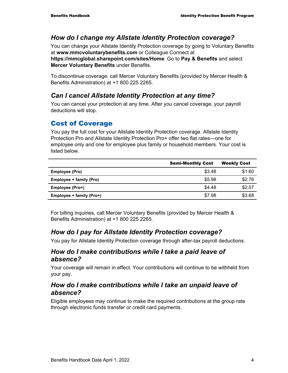### *How do I change my Allstate Identity Protection coverage?*

You can change your Allstate Identity Protection coverage by going to Voluntary Benefits at **www.mmcvoluntarybenefits.com** or Colleague Connect at **https://mmcglobal.sharepoint.com/sites/Home**. Go to **Pay & Benefits** and select **Mercer Voluntary Benefits** under Benefits.

To discontinue coverage, call Mercer Voluntary Benefits (provided by Mercer Health & Benefits Administration) at +1 800 225 2265.

### *Can I cancel Allstate Identity Protection at any time?*

You can cancel your protection at any time. After you cancel coverage, your payroll deductions will stop.

### Cost of Coverage

You pay the full cost for your Allstate Identity Protection coverage. Allstate Identity Protection Pro and Allstate Identity Protection Pro+ offer two flat rates—one for employee only and one for employee plus family or household members. Your cost is listed below.

|                          | <b>Semi-Monthly Cost</b> | <b>Weekly Cost</b> |
|--------------------------|--------------------------|--------------------|
| Employee (Pro)           | \$3.48                   | \$1.60             |
| Employee + family (Pro)  | \$5.98                   | \$2.76             |
| Employee (Pro+)          | \$4.48                   | \$2.07             |
| Employee + family (Pro+) | \$7.98                   | \$3.68             |

For billing inquiries, call Mercer Voluntary Benefits (provided by Mercer Health & Benefits Administration) at +1 800 225 2265.

### *How do I pay for Allstate Identity Protection coverage?*

You pay for Allstate Identity Protection coverage through after-tax payroll deductions.

### *How do I make contributions while I take a paid leave of absence?*

Your coverage will remain in effect. Your contributions will continue to be withheld from your pay.

### *How do I make contributions while I take an unpaid leave of absence?*

Eligible employees may continue to make the required contributions at the group rate through electronic funds transfer or credit card payments.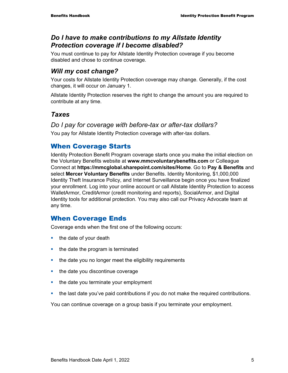### *Do I have to make contributions to my Allstate Identity Protection coverage if I become disabled?*

You must continue to pay for Allstate Identity Protection coverage if you become disabled and chose to continue coverage.

### *Will my cost change?*

Your costs for Allstate Identity Protection coverage may change. Generally, if the cost changes, it will occur on January 1.

Allstate Identity Protection reserves the right to change the amount you are required to contribute at any time.

### *Taxes*

### *Do I pay for coverage with before-tax or after-tax dollars?*

You pay for Allstate Identity Protection coverage with after-tax dollars.

### When Coverage Starts

Identity Protection Benefit Program coverage starts once you make the initial election on the Voluntary Benefits website at **www.mmcvoluntarybenefits.com** or Colleague Connect at **https://mmcglobal.sharepoint.com/sites/Home**. Go to **Pay & Benefits** and select **Mercer Voluntary Benefits** under Benefits. Identity Monitoring, \$1,000,000 Identity Theft Insurance Policy, and Internet Surveillance begin once you have finalized your enrollment. Log into your online account or call Allstate Identity Protection to access WalletArmor, CreditArmor (credit monitoring and reports), SocialArmor, and Digital Identity tools for additional protection. You may also call our Privacy Advocate team at any time.

### When Coverage Ends

Coverage ends when the first one of the following occurs:

- $\blacksquare$  the date of your death
- $\blacksquare$  the date the program is terminated
- the date you no longer meet the eligibility requirements
- the date you discontinue coverage
- the date you terminate your employment
- the last date you've paid contributions if you do not make the required contributions.

You can continue coverage on a group basis if you terminate your employment.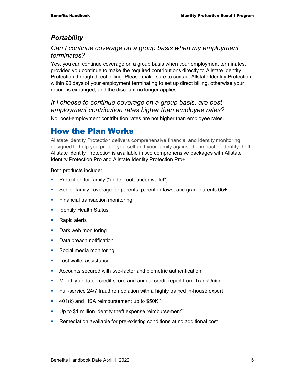### *Portability*

### *Can I continue coverage on a group basis when my employment terminates?*

Yes, you can continue coverage on a group basis when your employment terminates, provided you continue to make the required contributions directly to Allstate Identity Protection through direct billing. Please make sure to contact Allstate Identity Protection within 90 days of your employment terminating to set up direct billing, otherwise your record is expunged, and the discount no longer applies.

### *If I choose to continue coverage on a group basis, are postemployment contribution rates higher than employee rates?*

No, post-employment contribution rates are not higher than employee rates.

## How the Plan Works

Allstate Identity Protection delivers comprehensive financial and identity monitoring designed to help you protect yourself and your family against the impact of identity theft. Allstate Identity Protection is available in two comprehensive packages with Allstate Identity Protection Pro and Allstate Identity Protection Pro+.

Both products include:

- **Protection for family ("under roof, under wallet")**
- Senior family coverage for parents, parent-in-laws, and grandparents 65+
- **Financial transaction monitoring**
- **In Identity Health Status**
- Rapid alerts
- **Dark web monitoring**
- Data breach notification
- **Social media monitoring**
- **Lost wallet assistance**
- Accounts secured with two-factor and biometric authentication
- Monthly updated credit score and annual credit report from TransUnion
- **Full-service 24/7 fraud remediation with a highly trained in-house expert**
- <sup>4</sup> 401(k) and HSA reimbursement up to \$50K\*\*
- Up to \$1 million identity theft expense reimbursement\*\*
- Remediation available for pre-existing conditions at no additional cost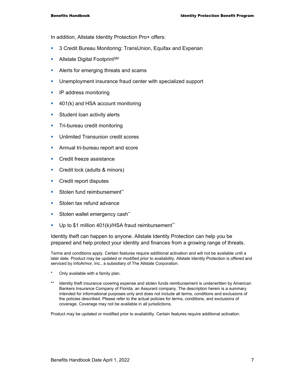In addition, Allstate Identity Protection Pro+ offers:

- 3 Credit Bureau Monitoring: TransUnion, Equifax and Experian
- Allstate Digital Footprint<sup>SM</sup>
- Alerts for emerging threats and scams
- Unemployment insurance fraud center with specialized support
- **IP address monitoring**
- 401(k) and HSA account monitoring
- **Student loan activity alerts**
- **Tri-bureau credit monitoring**
- **Unlimited Transunion credit scores**
- **Annual tri-bureau report and score**
- **Credit freeze assistance**
- **Credit lock (adults & minors)**
- **Credit report disputes**
- **Stolen fund reimbursement\*\***
- Stolen tax refund advance
- Stolen wallet emergency cash\*\*
- Up to \$1 million 401(k)/HSA fraud reimbursement\*\*

Identity theft can happen to anyone. Allstate Identity Protection can help you be prepared and help protect your identity and finances from a growing range of threats.

Terms and conditions apply. Certain features require additional activation and will not be available until a later date. Product may be updated or modified prior to availability. Allstate Identity Protection is offered and serviced by InfoArmor, Inc., a subsidiary of The Allstate Corporation.

- \* Only available with a family plan.
- Identity theft insurance covering expense and stolen funds reimbursement is underwritten by American Bankers Insurance Company of Florida, an Assurant company. The description herein is a summary intended for informational purposes only and does not include all terms, conditions and exclusions of the policies described. Please refer to the actual policies for terms, conditions, and exclusions of coverage. Coverage may not be available in all jurisdictions.

Product may be updated or modified prior to availability. Certain features require additional activation.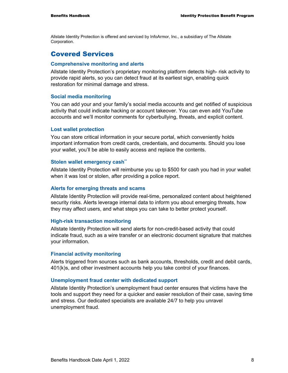Allstate Identity Protection is offered and serviced by InfoArmor, Inc., a subsidiary of The Allstate Corporation.

### Covered Services

#### **Comprehensive monitoring and alerts**

Allstate Identity Protection's proprietary monitoring platform detects high- risk activity to provide rapid alerts, so you can detect fraud at its earliest sign, enabling quick restoration for minimal damage and stress.

#### **Social media monitoring**

You can add your and your family's social media accounts and get notified of suspicious activity that could indicate hacking or account takeover. You can even add YouTube accounts and we'll monitor comments for cyberbullying, threats, and explicit content.

#### **Lost wallet protection**

You can store critical information in your secure portal, which conveniently holds important information from credit cards, credentials, and documents. Should you lose your wallet, you'll be able to easily access and replace the contents.

#### **Stolen wallet emergency cash\*\***

Allstate Identity Protection will reimburse you up to \$500 for cash you had in your wallet when it was lost or stolen, after providing a police report.

#### **Alerts for emerging threats and scams**

Allstate Identity Protection will provide real-time, personalized content about heightened security risks. Alerts leverage internal data to inform you about emerging threats, how they may affect users, and what steps you can take to better protect yourself.

#### **High-risk transaction monitoring**

Allstate Identity Protection will send alerts for non-credit-based activity that could indicate fraud, such as a wire transfer or an electronic document signature that matches your information.

#### **Financial activity monitoring**

Alerts triggered from sources such as bank accounts, thresholds, credit and debit cards, 401(k)s, and other investment accounts help you take control of your finances.

#### **Unemployment fraud center with dedicated support**

Allstate Identity Protection's unemployment fraud center ensures that victims have the tools and support they need for a quicker and easier resolution of their case, saving time and stress. Our dedicated specialists are available 24/7 to help you unravel unemployment fraud.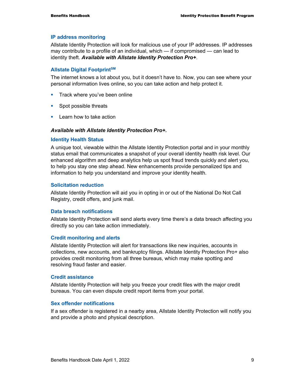#### **IP address monitoring**

Allstate Identity Protection will look for malicious use of your IP addresses. IP addresses may contribute to a profile of an individual, which — if compromised — can lead to identity theft. *Available with Allstate Identity Protection Pro+*.

### **Allstate Digital FootprintSM**

The internet knows a lot about you, but it doesn't have to. Now, you can see where your personal information lives online, so you can take action and help protect it.

- **Track where you've been online**
- **Spot possible threats**
- **Learn how to take action**

#### *Available with Allstate Identity Protection Pro+.*

#### **Identity Health Status**

A unique tool, viewable within the Allstate Identity Protection portal and in your monthly status email that communicates a snapshot of your overall identity health risk level. Our enhanced algorithm and deep analytics help us spot fraud trends quickly and alert you, to help you stay one step ahead. New enhancements provide personalized tips and information to help you understand and improve your identity health.

#### **Solicitation reduction**

Allstate Identity Protection will aid you in opting in or out of the National Do Not Call Registry, credit offers, and junk mail.

#### **Data breach notifications**

Allstate Identity Protection will send alerts every time there's a data breach affecting you directly so you can take action immediately.

#### **Credit monitoring and alerts**

Allstate Identity Protection will alert for transactions like new inquiries, accounts in collections, new accounts, and bankruptcy filings. Allstate Identity Protection Pro+ also provides credit monitoring from all three bureaus, which may make spotting and resolving fraud faster and easier.

#### **Credit assistance**

Allstate Identity Protection will help you freeze your credit files with the major credit bureaus. You can even dispute credit report items from your portal.

#### **Sex offender notifications**

If a sex offender is registered in a nearby area, Allstate Identity Protection will notify you and provide a photo and physical description.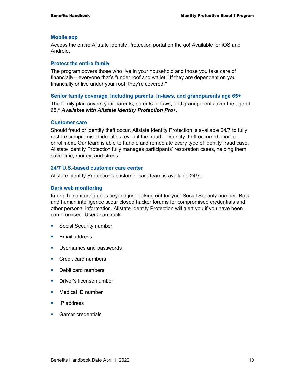#### **Mobile app**

Access the entire Allstate Identity Protection portal on the go! Available for iOS and Android.

#### **Protect the entire family**

The program covers those who live in your household and those you take care of financially—everyone that's "under roof and wallet." If they are dependent on you financially or live under your roof, they're covered.\*

#### **Senior family coverage, including parents, in-laws, and grandparents age 65+**

The family plan covers your parents, parents-in-laws, and grandparents over the age of 65.\* *Available with Allstate Identity Protection Pro+***.** 

#### **Customer care**

Should fraud or identity theft occur, Allstate Identity Protection is available 24/7 to fully restore compromised identities, even if the fraud or identity theft occurred prior to enrollment. Our team is able to handle and remediate every type of identity fraud case. Allstate Identity Protection fully manages participants' restoration cases, helping them save time, money, and stress.

#### **24/7 U.S.-based customer care center**

Allstate Identity Protection's customer care team is available 24/7.

#### **Dark web monitoring**

In-depth monitoring goes beyond just looking out for your Social Security number. Bots and human intelligence scour closed hacker forums for compromised credentials and other personal information. Allstate Identity Protection will alert you if you have been compromised. Users can track:

- **Social Security number**
- **Email address**
- **Usernames and passwords**
- **Credit card numbers**
- Debit card numbers
- **Driver's license number**
- **Medical ID number**
- **IP** address
- **Gamer credentials**